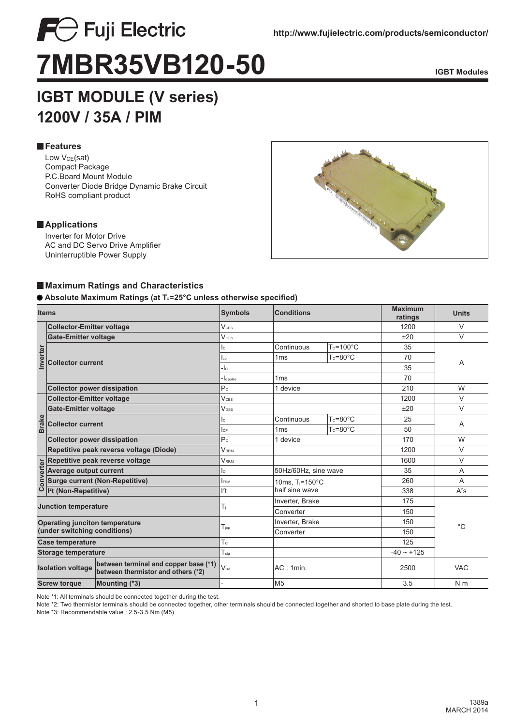

# **IGBT MODULE (V series) 1200V / 35A / PIM**

# **Features**

Low V<sub>CE</sub>(sat) Compact Package P.C.Board Mount Module Converter Diode Bridge Dynamic Brake Circuit RoHS compliant product

#### **Applications**

Inverter for Motor Drive AC and DC Servo Drive Amplifier Uninterruptible Power Supply



## **Maximum Ratings and Characteristics**

#### $\bullet$  Absolute Maximum Ratings (at T<sub>c</sub>=25°C unless otherwise specified)

| <b>Items</b>                                                                                            |                                         | <b>Symbols</b>                                  | <b>Conditions</b>           |                      |      | <b>Units</b>   |  |
|---------------------------------------------------------------------------------------------------------|-----------------------------------------|-------------------------------------------------|-----------------------------|----------------------|------|----------------|--|
|                                                                                                         | <b>Collector-Emitter voltage</b>        | V <sub>CS</sub>                                 |                             |                      |      | V              |  |
|                                                                                                         | <b>Gate-Emitter voltage</b>             | V <sub>GES</sub>                                |                             |                      | ±20  | $\vee$         |  |
|                                                                                                         |                                         | lc.                                             | Continuous                  | $T_c = 100^{\circ}C$ | 35   |                |  |
| Inverter                                                                                                | <b>Collector current</b>                | $I_{cp}$                                        | 1 <sub>ms</sub>             | $T_c = 80^\circ C$   | 70   | A              |  |
|                                                                                                         |                                         | $-lc$                                           |                             |                      |      |                |  |
|                                                                                                         |                                         | $\mathord{\text{-}}\mathsf{l}_\mathsf{c}$ pulse | 1 <sub>ms</sub>             |                      |      |                |  |
|                                                                                                         | <b>Collector power dissipation</b>      | P <sub>c</sub>                                  | 1 device                    |                      |      | W              |  |
|                                                                                                         | <b>Collector-Emitter voltage</b>        | V <sub>CS</sub>                                 |                             |                      |      | V              |  |
|                                                                                                         | <b>Gate-Emitter voltage</b>             | <b>VGES</b>                                     |                             |                      | ±20  | V              |  |
| <b>Brake</b>                                                                                            | <b>Collector current</b>                | lc.                                             | Continuous                  | $T_c = 80^\circ C$   | 25   | Α              |  |
|                                                                                                         |                                         | IсP                                             | 1 <sub>ms</sub>             | $T_c = 80^\circ C$   | 50   |                |  |
|                                                                                                         | <b>Collector power dissipation</b>      | P <sub>c</sub>                                  | 1 device                    |                      |      | W              |  |
|                                                                                                         | Repetitive peak reverse voltage (Diode) | <b>VRRM</b>                                     |                             |                      | 1200 | V              |  |
|                                                                                                         | Repetitive peak reverse voltage         | <b>VRRM</b>                                     |                             |                      | 1600 | V              |  |
| Converter                                                                                               | Average output current                  | lo.                                             | 50Hz/60Hz, sine wave        |                      | 35   | A              |  |
|                                                                                                         | <b>Surge current (Non-Repetitive)</b>   | <b>FSM</b>                                      | 10ms, $T_i = 150^{\circ}$ C |                      | 260  | A              |  |
|                                                                                                         | l <sup>2</sup> t (Non-Repetitive)       | $l^2t$                                          | half sine wave              |                      |      | $A^2s$         |  |
| <b>Junction temperature</b>                                                                             |                                         | T,                                              |                             | Inverter, Brake      |      |                |  |
|                                                                                                         |                                         |                                                 | Converter                   |                      |      |                |  |
| <b>Operating junciton temperature</b><br>(under switching conditions)                                   |                                         | $T_{\text{lop}}$                                |                             | Inverter, Brake      |      | $^{\circ}C$    |  |
|                                                                                                         |                                         |                                                 | Converter                   |                      |      |                |  |
| <b>Case temperature</b>                                                                                 |                                         | Tc                                              |                             |                      | 125  |                |  |
| <b>Storage temperature</b>                                                                              |                                         | $T_{\text{stg}}$                                |                             |                      |      |                |  |
| between terminal and copper base (*1)<br><b>Isolation voltage</b><br>between thermistor and others (*2) |                                         | $V_{\text{iso}}$                                | AC:1min.                    |                      |      | <b>VAC</b>     |  |
| <b>Screw torque</b><br>Mounting (*3)                                                                    |                                         |                                                 | M <sub>5</sub>              |                      |      | N <sub>m</sub> |  |

Note \*1: All terminals should be connected together during the test.

Note \*2: Two thermistor terminals should be connected together, other terminals should be connected together and shorted to base plate during the test.

Note \*3: Recommendable value : 2.5-3.5 Nm (M5)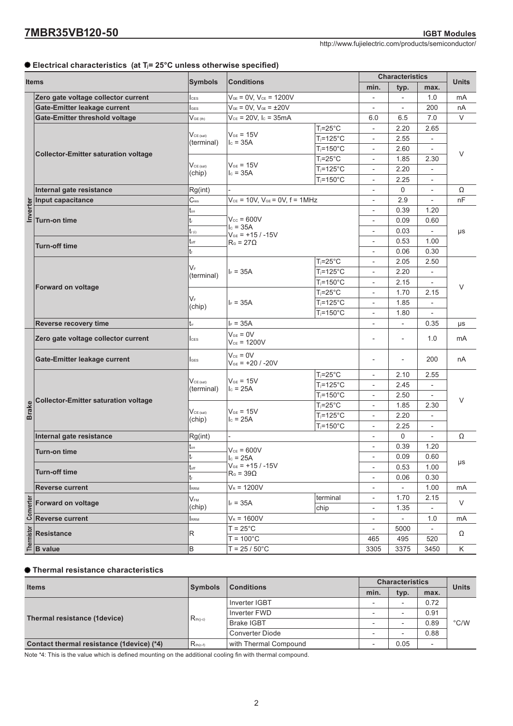#### **Electrical characteristics (at Tj= 25°C unless otherwise specified)**

| <b>Items</b> |                                                                                                                                                                                                                                                                                                                                                                                                                                                                | <b>Symbols</b>                   | <b>Conditions</b>                                                                                                    |                       | <b>Characteristics</b>                               |                          |                                  |              |
|--------------|----------------------------------------------------------------------------------------------------------------------------------------------------------------------------------------------------------------------------------------------------------------------------------------------------------------------------------------------------------------------------------------------------------------------------------------------------------------|----------------------------------|----------------------------------------------------------------------------------------------------------------------|-----------------------|------------------------------------------------------|--------------------------|----------------------------------|--------------|
|              |                                                                                                                                                                                                                                                                                                                                                                                                                                                                |                                  |                                                                                                                      |                       | min.                                                 | typ.                     | max.                             | <b>Units</b> |
|              | Zero gate voltage collector current                                                                                                                                                                                                                                                                                                                                                                                                                            | <b>CES</b>                       | $V_{GE} = 0V$ , $V_{CE} = 1200V$                                                                                     |                       |                                                      | $\overline{\phantom{a}}$ | 1.0                              | mA           |
|              | Gate-Emitter leakage current                                                                                                                                                                                                                                                                                                                                                                                                                                   | <b>I</b> GES                     | $V_{GE} = 0V$ , $V_{GE} = \pm 20V$                                                                                   |                       | $\qquad \qquad -$                                    | $\overline{\phantom{a}}$ | 200                              | nA           |
|              | <b>Gate-Emitter threshold voltage</b>                                                                                                                                                                                                                                                                                                                                                                                                                          | $V_{\text{GE (th)}}$             | $V_{CE} = 20V$ , $I_C = 35mA$                                                                                        |                       | 6.0                                                  | 6.5                      | 7.0                              | V            |
|              | <b>Collector-Emitter saturation voltage</b>                                                                                                                                                                                                                                                                                                                                                                                                                    | $V_{CE (sat)}$<br>(terminal)     | $V_{GE}$ = 15V<br>$I_c = 35A$<br>$V_{GE} = 15V$<br>$I_c = 35A$                                                       | $T_i = 25^\circ C$    |                                                      | 2.20                     | 2.65                             | V            |
|              |                                                                                                                                                                                                                                                                                                                                                                                                                                                                |                                  |                                                                                                                      | $T_i = 125$ °C        |                                                      | 2.55                     |                                  |              |
|              |                                                                                                                                                                                                                                                                                                                                                                                                                                                                |                                  |                                                                                                                      | $T_i = 150^{\circ}$ C |                                                      | 2.60                     | $\overline{\phantom{a}}$         |              |
|              |                                                                                                                                                                                                                                                                                                                                                                                                                                                                | $V_{CE (sat)}$<br>(chip)         |                                                                                                                      | $T_i = 25^\circ C$    |                                                      | 1.85                     | 2.30                             |              |
|              |                                                                                                                                                                                                                                                                                                                                                                                                                                                                |                                  |                                                                                                                      | $T_i = 125$ °C        |                                                      | 2.20                     | $\overline{a}$                   |              |
|              |                                                                                                                                                                                                                                                                                                                                                                                                                                                                |                                  |                                                                                                                      | $T_i = 150^{\circ}$ C |                                                      | 2.25                     | $\overline{\phantom{a}}$         |              |
|              | Internal gate resistance                                                                                                                                                                                                                                                                                                                                                                                                                                       | Rg(int)                          |                                                                                                                      |                       |                                                      | 0                        | $\overline{\phantom{0}}$         | Ω            |
| Inverter     | Input capacitance                                                                                                                                                                                                                                                                                                                                                                                                                                              | $C_{\text{ies}}$                 | $V_{CE}$ = 10V, $V_{GE}$ = 0V, f = 1MHz<br>$V_{cc}$ = 600V<br>$c = 35A$<br>$V_{GE}$ = +15 / -15V<br>$R_0 = 27\Omega$ |                       |                                                      | 2.9<br>0.39              | 1.20                             | nF           |
|              | Turn-on time                                                                                                                                                                                                                                                                                                                                                                                                                                                   | ton<br>t                         |                                                                                                                      |                       |                                                      | 0.09                     | 0.60                             | μs           |
|              |                                                                                                                                                                                                                                                                                                                                                                                                                                                                | $t_{\rm f(i)}$                   |                                                                                                                      |                       |                                                      | 0.03                     | $\overline{\phantom{a}}$         |              |
|              |                                                                                                                                                                                                                                                                                                                                                                                                                                                                | $t_{\text{off}}$                 |                                                                                                                      |                       |                                                      | 0.53                     | 1.00                             |              |
|              | <b>Turn-off time</b>                                                                                                                                                                                                                                                                                                                                                                                                                                           | t                                |                                                                                                                      |                       |                                                      | 0.06                     | 0.30                             |              |
|              |                                                                                                                                                                                                                                                                                                                                                                                                                                                                | VF<br>(terminal)                 |                                                                                                                      | $T_j = 25^{\circ}C$   |                                                      | 2.05                     | 2.50                             | V            |
|              | Forward on voltage                                                                                                                                                                                                                                                                                                                                                                                                                                             |                                  | $I_F = 35A$                                                                                                          | $T_i = 125$ °C        |                                                      | 2.20                     | $\overline{\phantom{a}}$         |              |
|              |                                                                                                                                                                                                                                                                                                                                                                                                                                                                |                                  |                                                                                                                      | $T_j = 150^{\circ}$ C |                                                      | 2.15                     | $\overline{\phantom{a}}$         |              |
|              |                                                                                                                                                                                                                                                                                                                                                                                                                                                                | VF<br>(chip)                     | $ _F = 35A$                                                                                                          | $T_j = 25^\circ C$    |                                                      | 1.70                     | 2.15                             |              |
|              |                                                                                                                                                                                                                                                                                                                                                                                                                                                                |                                  |                                                                                                                      | $T_i = 125$ °C        | $\overline{a}$                                       | 1.85                     | $\overline{\phantom{0}}$         |              |
|              |                                                                                                                                                                                                                                                                                                                                                                                                                                                                |                                  |                                                                                                                      | $T_i = 150^{\circ}$ C | $\overline{a}$                                       | 1.80                     |                                  |              |
|              | Reverse recovery time                                                                                                                                                                                                                                                                                                                                                                                                                                          | $t_{\rm r}$                      | $I_F = 35A$                                                                                                          |                       | $\overline{a}$                                       | $\overline{\phantom{a}}$ | 0.35                             | μs           |
|              | Zero gate voltage collector current                                                                                                                                                                                                                                                                                                                                                                                                                            | <b>I</b> ces                     | $V_{GE} = 0V$<br>$V_{CE}$ = 1200V                                                                                    |                       | $\overline{\phantom{a}}$                             | $\overline{\phantom{a}}$ | 1.0                              | mA           |
|              | Gate-Emitter leakage current                                                                                                                                                                                                                                                                                                                                                                                                                                   | <b>I</b> GES                     | $V_{CE} = 0V$<br>$V_{GE}$ = +20 / -20V                                                                               | $\qquad \qquad -$     | $\overline{\phantom{a}}$                             | 200                      | nA                               |              |
|              |                                                                                                                                                                                                                                                                                                                                                                                                                                                                | $V_{CE (sat)}$<br>(terminal)     |                                                                                                                      | $T_i = 25^\circ C$    | $\overline{\phantom{a}}$                             | 2.10                     | 2.55                             | $\vee$       |
|              | <b>Collector-Emitter saturation voltage</b>                                                                                                                                                                                                                                                                                                                                                                                                                    |                                  | $V_{GE} = 15V$<br>$c = 25A$                                                                                          | $T_i = 125$ °C        | $\overline{\phantom{a}}$                             | 2.45                     |                                  |              |
|              |                                                                                                                                                                                                                                                                                                                                                                                                                                                                |                                  |                                                                                                                      | $T_j = 150^{\circ}$ C |                                                      | 2.50                     |                                  |              |
| <b>Brake</b> |                                                                                                                                                                                                                                                                                                                                                                                                                                                                | $V_{\text{CE (sat)}}$<br>(chip)  | $V_{GE} = 15V$<br>$I_c = 25A$                                                                                        | $T_j = 25^\circ C$    |                                                      | 1.85                     | 2.30                             |              |
|              |                                                                                                                                                                                                                                                                                                                                                                                                                                                                |                                  |                                                                                                                      | $T_j = 125^{\circ}C$  |                                                      | 2.20                     |                                  |              |
|              |                                                                                                                                                                                                                                                                                                                                                                                                                                                                |                                  |                                                                                                                      | $T_i = 150^{\circ}$ C |                                                      | 2.25                     |                                  |              |
|              | Internal gate resistance                                                                                                                                                                                                                                                                                                                                                                                                                                       | Rg(int)                          |                                                                                                                      |                       |                                                      | 0                        |                                  | Ω            |
|              | <b>Turn-on time</b>                                                                                                                                                                                                                                                                                                                                                                                                                                            | ton                              | $V_{CE}$ = 600V                                                                                                      |                       | $\overline{\phantom{0}}$                             | 0.39                     | 1.20                             |              |
|              |                                                                                                                                                                                                                                                                                                                                                                                                                                                                | tr                               | $I_c = 25A$                                                                                                          |                       |                                                      | 0.09                     | 0.60                             | $\mu s$      |
|              | $t_{\rm off}$<br><b>Turn-off time</b>                                                                                                                                                                                                                                                                                                                                                                                                                          |                                  | $V_{GE}$ = +15 / -15V<br>$R_{\text{G}}$ = 39 $\Omega$                                                                |                       | $\overline{\phantom{a}}$                             | 0.53                     | 1.00                             |              |
|              |                                                                                                                                                                                                                                                                                                                                                                                                                                                                | t                                |                                                                                                                      |                       | $\overline{\phantom{a}}$                             | 0.06                     | 0.30                             |              |
|              | <b>Reverse current</b>                                                                                                                                                                                                                                                                                                                                                                                                                                         | RRM                              | $V_R = 1200V$                                                                                                        |                       |                                                      | $\blacksquare$           | 1.00                             | mA           |
|              | $\begin{array}{r}\n\frac{1}{2} \\ \frac{1}{2} \\ \frac{1}{2} \\ \frac{1}{2} \\ \frac{1}{2} \\ \frac{1}{2} \\ \frac{1}{2} \\ \frac{1}{2} \\ \frac{1}{2} \\ \frac{1}{2} \\ \frac{1}{2} \\ \frac{1}{2} \\ \frac{1}{2} \\ \frac{1}{2} \\ \frac{1}{2} \\ \frac{1}{2} \\ \frac{1}{2} \\ \frac{1}{2} \\ \frac{1}{2} \\ \frac{1}{2} \\ \frac{1}{2} \\ \frac{1}{2} \\ \frac{1}{2} \\ \frac{1}{2} \\ \frac{1}{2} \\ \frac{1}{2} \\ \frac{1$<br><b>Forward on voltage</b> | $V_{\text{\tiny{FM}}}$<br>(chip) | $I_F = 35A$                                                                                                          | terminal<br>chip      | $\overline{\phantom{a}}$<br>$\overline{\phantom{a}}$ | 1.70<br>1.35             | 2.15<br>$\overline{\phantom{a}}$ | V            |
|              |                                                                                                                                                                                                                                                                                                                                                                                                                                                                | RRM                              | $V_R = 1600V$                                                                                                        |                       | $\overline{\phantom{a}}$                             | $\overline{\phantom{a}}$ | 1.0                              | mA           |
|              |                                                                                                                                                                                                                                                                                                                                                                                                                                                                |                                  | $T = 25^{\circ}$ C                                                                                                   |                       | $\overline{\phantom{a}}$                             | 5000                     | $\overline{\phantom{a}}$         |              |
|              |                                                                                                                                                                                                                                                                                                                                                                                                                                                                | R                                | $T = 100^{\circ}$ C                                                                                                  |                       | 465                                                  | 495                      | 520                              | Ω            |
|              |                                                                                                                                                                                                                                                                                                                                                                                                                                                                | В                                | $T = 25 / 50^{\circ}$ C                                                                                              |                       | 3305                                                 | 3375                     | 3450                             | Κ            |

#### **Thermal resistance characteristics**

| <b>Items</b>                              | <b>Symbols</b> | <b>Conditions</b>     | <b>Characteristics</b> |                          |                          | <b>Units</b>  |
|-------------------------------------------|----------------|-----------------------|------------------------|--------------------------|--------------------------|---------------|
|                                           |                |                       | min.                   | typ.                     | max.                     |               |
|                                           | $R_{th(i-c)}$  | Inverter IGBT         | -                      | $\overline{\phantom{0}}$ | 0.72                     | $\degree$ C/W |
|                                           |                | Inverter FWD          | -                      | $\overline{\phantom{a}}$ | 0.91                     |               |
| Thermal resistance (1device)              |                | <b>Brake IGBT</b>     | -                      | $\overline{\phantom{0}}$ | 0.89                     |               |
|                                           |                | Converter Diode       |                        | $\overline{\phantom{0}}$ | 0.88                     |               |
| Contact thermal resistance (1device) (*4) | $R_{th(c-f)}$  | with Thermal Compound | -                      | 0.05                     | $\overline{\phantom{0}}$ |               |

Note \*4: This is the value which is defined mounting on the additional cooling fin with thermal compound.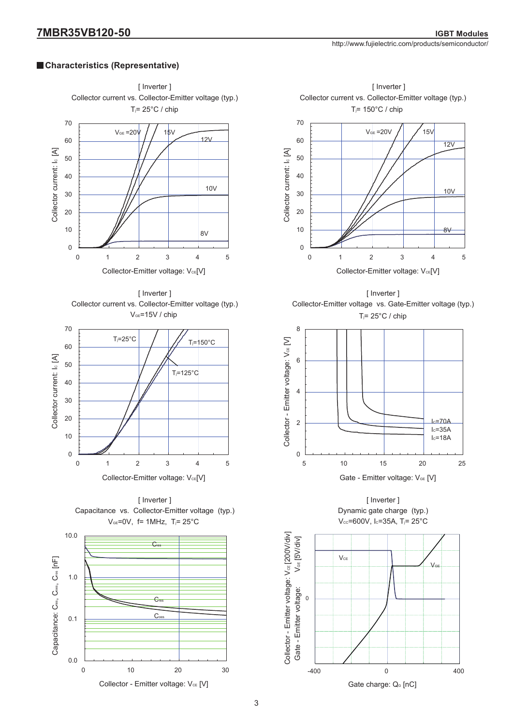## **Characteristics (Representative)**















[ Inverter ] Dynamic gate charge (typ.)  $V_{cc}$ =600V, Ic=35A, T<sub>j</sub>=25°C

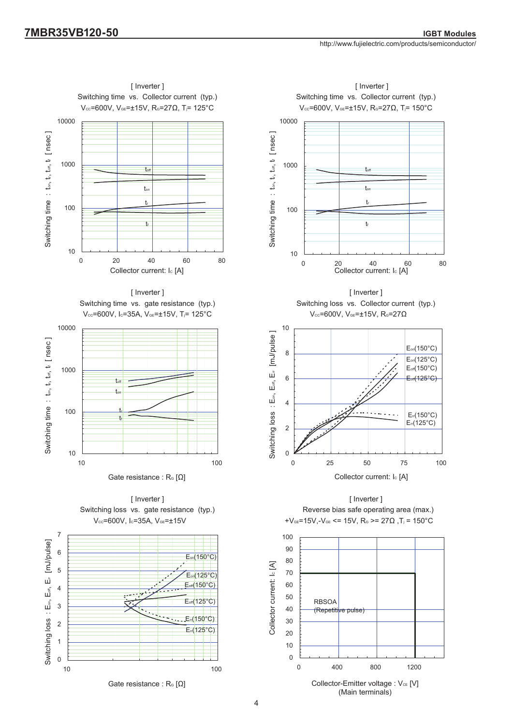





10 100

0

1

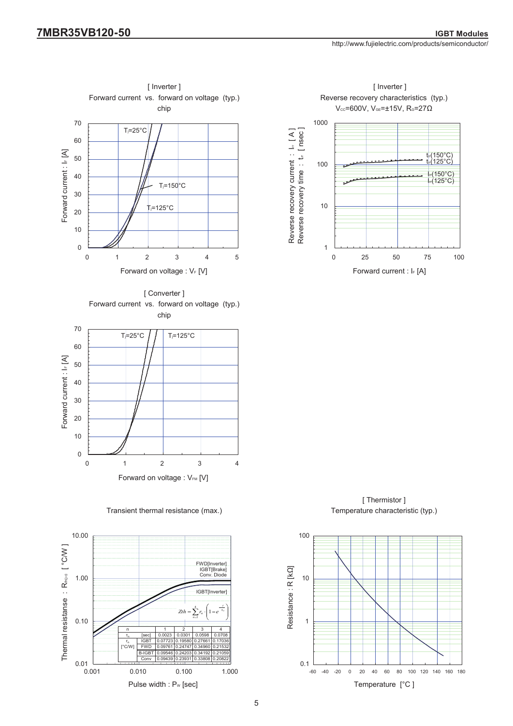



[ Thermistor ] Temperature characteristic (typ.)



 $45$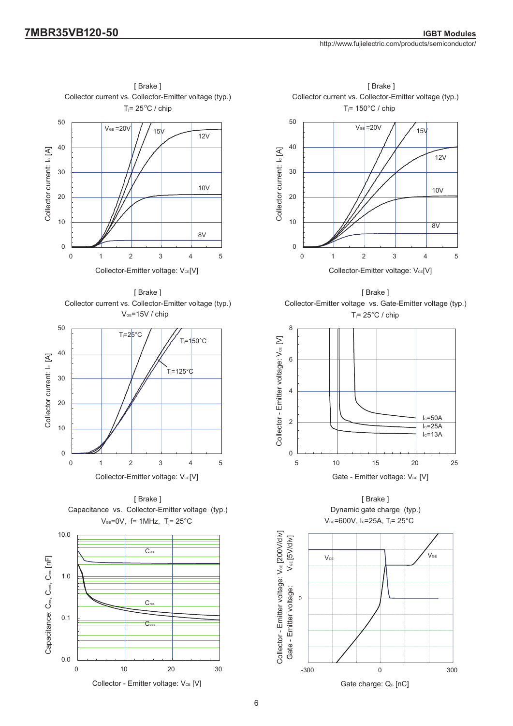[ Brake ]





[ Brake ] T<sub>i</sub>=  $25^{\circ}$ C / chip Collector-Emitter voltage vs. Gate-Emitter voltage (typ.)





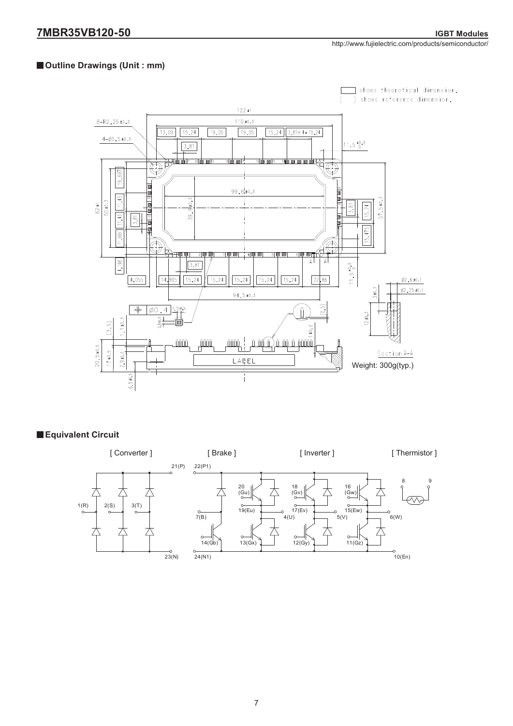## **Outline Drawings (Unit : mm)**



## **Equivalent Circuit**